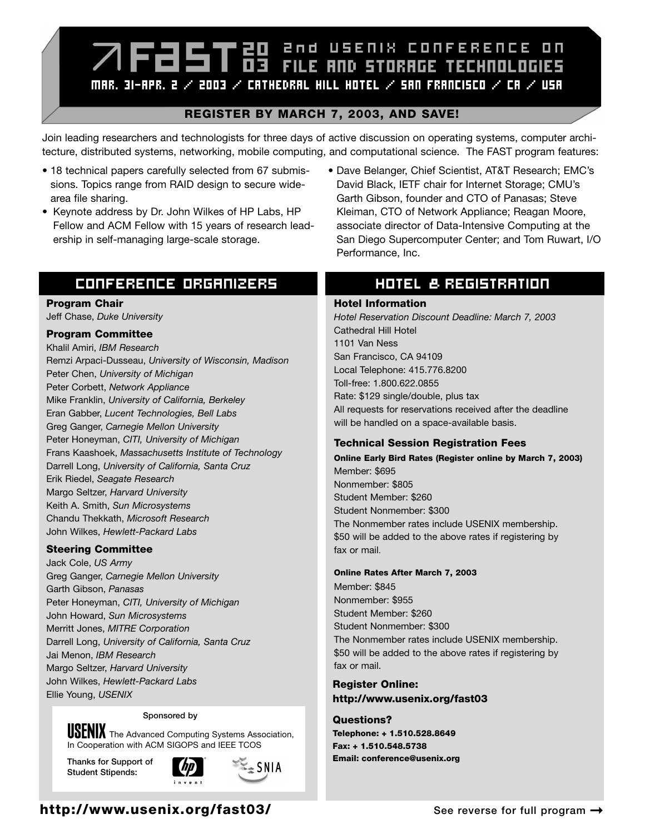# **ZIFESTES** PRO USENIX CONFERENCE ON MAR. 31-APR. 2  $\times$  2003  $\times$  Cathedral Hill Hotel  $\times$  San Francisco  $\times$  Ca  $\times$  USA.

## **REGISTER BY MARCH 7, 2003, AND SAVE!**

Join leading researchers and technologists for three days of active discussion on operating systems, computer architecture, distributed systems, networking, mobile computing, and computational science. The FAST program features:

- 18 technical papers carefully selected from 67 submissions. Topics range from RAID design to secure widearea file sharing.
- Keynote address by Dr. John Wilkes of HP Labs, HP Fellow and ACM Fellow with 15 years of research leadership in self-managing large-scale storage.

# CONFERENCE ORGANIZERS

### **Program Chair**

Jeff Chase, *Duke University*

## **Program Committee**

Khalil Amiri, *IBM Research* Remzi Arpaci-Dusseau, *University of Wisconsin, Madison* Peter Chen, *University of Michigan* Peter Corbett, *Network Appliance* Mike Franklin, *University of California, Berkeley* Eran Gabber, *Lucent Technologies, Bell Labs* Greg Ganger, *Carnegie Mellon University* Peter Honeyman, *CITI, University of Michigan* Frans Kaashoek, *Massachusetts Institute of Technology* Darrell Long, *University of California, Santa Cruz* Erik Riedel, *Seagate Research* Margo Seltzer, *Harvard University* Keith A. Smith, *Sun Microsystems* Chandu Thekkath, *Microsoft Research* John Wilkes, *Hewlett-Packard Labs*

## **Steering Committee**

Jack Cole, *US Army* Greg Ganger, *Carnegie Mellon University* Garth Gibson, *Panasas* Peter Honeyman, *CITI, University of Michigan* John Howard, *Sun Microsystems* Merritt Jones, *MITRE Corporation* Darrell Long, *University of California, Santa Cruz* Jai Menon, *IBM Research* Margo Seltzer, *Harvard University* John Wilkes, *Hewlett-Packard Labs* Ellie Young, *USENIX*

#### **Sponsored by**

**USENIX** The Advanced Computing Systems Association, In Cooperation with ACM SIGOPS and IEEE TCOS

**Thanks for Support of Student Stipends:**



 $\approx$  SNIA

• Dave Belanger, Chief Scientist, AT&T Research; EMC's David Black, IETF chair for Internet Storage; CMU's Garth Gibson, founder and CTO of Panasas; Steve Kleiman, CTO of Network Appliance; Reagan Moore, associate director of Data-Intensive Computing at the San Diego Supercomputer Center; and Tom Ruwart, I/O Performance, Inc.

## HOTEL & REGISTRATION

#### **Hotel Information**

*Hotel Reservation Discount Deadline: March 7, 2003* Cathedral Hill Hotel 1101 Van Ness San Francisco, CA 94109 Local Telephone: 415.776.8200 Toll-free: 1.800.622.0855 Rate: \$129 single/double, plus tax All requests for reservations received after the deadline will be handled on a space-available basis.

## **Technical Session Registration Fees**

**Online Early Bird Rates (Register online by March 7, 2003)** Member: \$695 Nonmember: \$805 Student Member: \$260 Student Nonmember: \$300 The Nonmember rates include USENIX membership. \$50 will be added to the above rates if registering by fax or mail.

#### **Online Rates After March 7, 2003**

Member: \$845 Nonmember: \$955 Student Member: \$260 Student Nonmember: \$300 The Nonmember rates include USENIX membership. \$50 will be added to the above rates if registering by fax or mail.

**Register Online: http://www.usenix.org/fast03**

#### **Questions? Telephone: + 1.510.528.8649 Fax: + 1.510.548.5738 Email: conference@usenix.org**

# **http://www.usenix.org/fast03/**